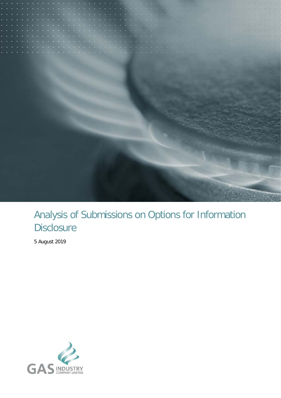

# Analysis of Submissions on Options for Information **Disclosure**

5 August 2019

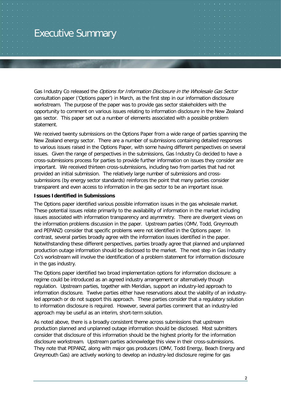# <span id="page-1-0"></span>Executive Summary

Gas Industry Co released the Options for Information Disclosure in the Wholesale Gas Sector consultation paper ('Options paper') in March, as the first step in our information disclosure workstream. The purpose of the paper was to provide gas sector stakeholders with the opportunity to comment on various issues relating to information disclosure in the New Zealand gas sector. This paper set out a number of elements associated with a possible problem statement.

We received twenty submissions on the Options Paper from a wide range of parties spanning the New Zealand energy sector. There are a number of submissions containing detailed responses to various issues raised in the Options Paper, with some having different perspectives on several issues. Given the range of perspectives in the submissions, Gas Industry Co decided to have a cross-submissions process for parties to provide further information on issues they consider are important. We received thirteen cross-submissions, including two from parties that had not provided an initial submission. The relatively large number of submissions and crosssubmissions (by energy sector standards) reinforces the point that many parties consider transparent and even access to information in the gas sector to be an important issue.

#### **Issues Identified in Submissions**

The Options paper identified various possible information issues in the gas wholesale market. These potential issues relate primarily to the availability of information in the market including issues associated with information transparency and asymmetry. There are divergent views on the information problems discussion in the paper. Upstream parties (OMV, Todd, Greymouth and PEPANZ) consider that specific problems were not identified in the Options paper. In contrast, several parties broadly agree with the information issues identified in the paper. Notwithstanding these different perspectives, parties broadly agree that planned and unplanned production outage information should be disclosed to the market. The next step in Gas Industry Co's workstream will involve the identification of a problem statement for information disclosure in the gas industry.

The Options paper identified two broad implementation options for information disclosure: a regime could be introduced as an agreed industry arrangement or alternatively though regulation. Upstream parties, together with Meridian, support an industry-led approach to information disclosure. Twelve parties either have reservations about the viability of an industryled approach or do not support this approach. These parties consider that a regulatory solution to information disclosure is required. However, several parties comment that an industry-led approach may be useful as an interim, short-term solution.

As noted above, there is a broadly consistent theme across submissions that upstream production planned and unplanned outage information should be disclosed. Most submitters consider that disclosure of this information should be the highest priority for the information disclosure workstream. Upstream parties acknowledge this view in their cross-submissions. They note that PEPANZ, along with major gas producers (OMV, Todd Energy, Beach Energy and Greymouth Gas) are actively working to develop an industry-led disclosure regime for gas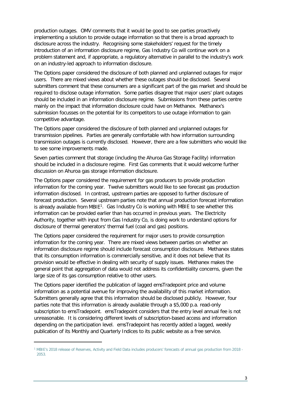production outages. OMV comments that it would be good to see parties proactively implementing a solution to provide outage information so that there is a broad approach to disclosure across the industry. Recognising some stakeholders' request for the timely introduction of an information disclosure regime, Gas Industry Co will continue work on a problem statement and, if appropriate, a regulatory alternative in parallel to the industry's work on an industry-led approach to information disclosure.

The Options paper considered the disclosure of both planned and unplanned outages for major users. There are mixed views about whether these outages should be disclosed. Several submitters comment that these consumers are a significant part of the gas market and should be required to disclose outage information. Some parties disagree that major users' plant outages should be included in an information disclosure regime. Submissions from these parties centre mainly on the impact that information disclosure could have on Methanex. Methanex's submission focusses on the potential for its competitors to use outage information to gain competitive advantage.

The Options paper considered the disclosure of both planned and unplanned outages for transmission pipelines. Parties are generally comfortable with how information surrounding transmission outages is currently disclosed. However, there are a few submitters who would like to see some improvements made.

Seven parties comment that storage (including the Ahuroa Gas Storage Facility) information should be included in a disclosure regime. First Gas comments that it would welcome further discussion on Ahuroa gas storage information disclosure.

The Options paper considered the requirement for gas producers to provide production information for the coming year. Twelve submitters would like to see forecast gas production information disclosed. In contrast, upstream parties are opposed to further disclosure of forecast production. Several upstream parties note that annual production forecast information is already available from  $MBIE<sup>1</sup>$  $MBIE<sup>1</sup>$  $MBIE<sup>1</sup>$ . Gas Industry Co is working with MBIE to see whether this information can be provided earlier than has occurred in previous years. The Electricity Authority, together with input from Gas Industry Co, is doing work to understand options for disclosure of thermal generators' thermal fuel (coal and gas) positions.

The Options paper considered the requirement for major users to provide consumption information for the coming year. There are mixed views between parties on whether an information disclosure regime should include forecast consumption disclosure. Methanex states that its consumption information is commercially sensitive, and it does not believe that its provision would be effective in dealing with security of supply issues. Methanex makes the general point that aggregation of data would not address its confidentiality concerns, given the large size of its gas consumption relative to other users.

The Options paper identified the publication of lagged emsTradepoint price and volume information as a potential avenue for improving the availability of this market information. Submitters generally agree that this information should be disclosed publicly. However, four parties note that this information is already available through a \$5,000 p.a. read-only subscription to emsTradepoint. emsTradepoint considers that the entry level annual fee is not unreasonable. It is considering different levels of subscription-based access and information depending on the participation level. emsTradepoint has recently added a lagged, weekly publication of its Monthly and Quarterly Indices to its public website as a free service.

<span id="page-2-0"></span><sup>1</sup> MBIE's 2018 release of Reserves, Activity and Field Data includes producers' forecasts of annual gas production from 2018 - 2053.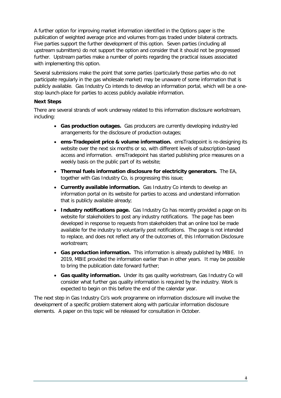A further option for improving market information identified in the Options paper is the publication of weighted average price and volumes from gas traded under bilateral contracts. Five parties support the further development of this option. Seven parties (including all upstream submitters) do not support the option and consider that it should not be progressed further. Upstream parties make a number of points regarding the practical issues associated with implementing this option.

Several submissions make the point that some parties (particularly those parties who do not participate regularly in the gas wholesale market) may be unaware of some information that is publicly available. Gas Industry Co intends to develop an information portal, which will be a onestop launch-place for parties to access publicly available information.

#### **Next Steps**

There are several strands of work underway related to this information disclosure workstream, including:

- **Gas production outages.** Gas producers are currently developing industry-led arrangements for the disclosure of production outages;
- **ems-Tradepoint price & volume information.** emsTradepoint is re-designing its website over the next six months or so, with different levels of subscription-based access and information. emsTradepoint has started publishing price measures on a weekly basis on the public part of its website;
- **Thermal fuels information disclosure for electricity generators.** The EA, together with Gas Industry Co, is progressing this issue;
- **Currently available information.** Gas Industry Co intends to develop an information portal on its website for parties to access and understand information that is publicly available already;
- **Industry notifications page.** Gas Industry Co has recently provided a page on its website for stakeholders to post any industry notifications. The page has been developed in response to requests from stakeholders that an online tool be made available for the industry to voluntarily post notifications. The page is not intended to replace, and does not reflect any of the outcomes of, this Information Disclosure workstream;
- **Gas production information.** This information is already published by MBIE. In 2019, MBIE provided the information earlier than in other years. It may be possible to bring the publication date forward further;
- **Gas quality information.** Under its gas quality workstream, Gas Industry Co will consider what further gas quality information is required by the industry. Work is expected to begin on this before the end of the calendar year.

The next step in Gas Industry Co's work programme on information disclosure will involve the development of a specific problem statement along with particular information disclosure elements. A paper on this topic will be released for consultation in October.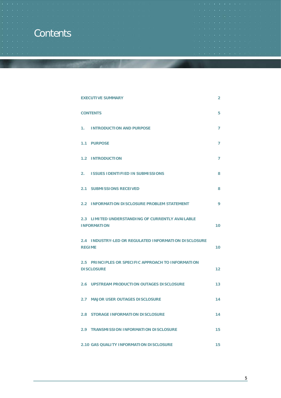# <span id="page-4-0"></span>**Contents**

| œ  |  |  | <b>ALLOWS OF THE OFFICE ART ALL CHARGES</b> |  |  |  |  |                                                                                                                 |  |
|----|--|--|---------------------------------------------|--|--|--|--|-----------------------------------------------------------------------------------------------------------------|--|
|    |  |  |                                             |  |  |  |  |                                                                                                                 |  |
|    |  |  |                                             |  |  |  |  | .                                                                                                               |  |
|    |  |  |                                             |  |  |  |  |                                                                                                                 |  |
|    |  |  |                                             |  |  |  |  |                                                                                                                 |  |
| m. |  |  |                                             |  |  |  |  |                                                                                                                 |  |
|    |  |  |                                             |  |  |  |  |                                                                                                                 |  |
|    |  |  |                                             |  |  |  |  | the contract of the contract of the contract of the contract of the contract of the contract of the contract of |  |
|    |  |  |                                             |  |  |  |  |                                                                                                                 |  |

| <b>EXECUTIVE SUMMARY</b>                                                | 2  |
|-------------------------------------------------------------------------|----|
| <b>CONTENTS</b>                                                         | 5  |
| <b>INTRODUCTION AND PURPOSE</b><br>1.                                   | 7  |
| 1.1 PURPOSE                                                             | 7  |
| <b>1.2 INTRODUCTION</b>                                                 | 7  |
| <b>ISSUES IDENTIFIED IN SUBMISSIONS</b><br>2.                           | 8  |
| <b>2.1 SUBMISSIONS RECEIVED</b>                                         | 8  |
| 2.2 INFORMATION DISCLOSURE PROBLEM STATEMENT                            | 9  |
| 2.3 LIMITED UNDERSTANDING OF CURRENTLY AVAILABLE<br><b>INFORMATION</b>  | 10 |
| 2.4 INDUSTRY-LED OR REGULATED INFORMATION DISCLOSURE<br><b>REGIME</b>   | 10 |
| 2.5 PRINCIPLES OR SPECIFIC APPROACH TO INFORMATION<br><b>DISCLOSURE</b> | 12 |
| 2.6 UPSTREAM PRODUCTION OUTAGES DISCLOSURE                              | 13 |
| 2.7 MAJOR USER OUTAGES DISCLOSURE                                       | 14 |
| <b>2.8 STORAGE INFORMATION DISCLOSURE</b>                               | 14 |
| 2.9 TRANSMISSION INFORMATION DISCLOSURE                                 | 15 |
| <b>2.10 GAS QUALITY INFORMATION DISCLOSURE</b>                          | 15 |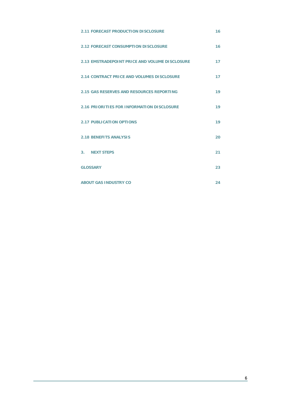| <b>2.11 FORECAST PRODUCTION DISCLOSURE</b>       | 16 |
|--------------------------------------------------|----|
| <b>2.12 FORECAST CONSUMPTION DISCLOSURE</b>      | 16 |
| 2.13 EMSTRADEPOINT PRICE AND VOLUME DISCLOSURE   | 17 |
| 2.14 CONTRACT PRICE AND VOLUMES DISCLOSURE       | 17 |
| <b>2.15 GAS RESERVES AND RESOURCES REPORTING</b> | 19 |
| 2.16 PRIORITIES FOR INFORMATION DISCLOSURE       | 19 |
| <b>2.17 PUBLICATION OPTIONS</b>                  | 19 |
| <b>2.18 BENEFITS ANALYSIS</b>                    | 20 |
| 3. NEXT STEPS                                    | 21 |
| <b>GLOSSARY</b>                                  | 23 |
| <b>ABOUT GAS INDUSTRY CO</b>                     | 24 |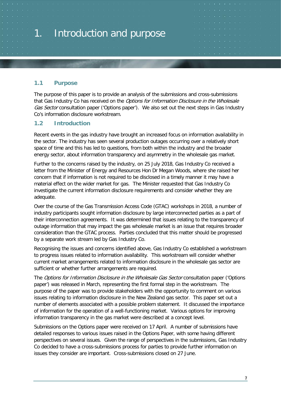# <span id="page-6-0"></span>1. Introduction and purpose

# <span id="page-6-1"></span>**1.1 Purpose**

The purpose of this paper is to provide an analysis of the submissions and cross-submissions that Gas Industry Co has received on the Options for Information Disclosure in the Wholesale Gas Sector consultation paper ('Options paper'). We also set out the next steps in Gas Industry Co's information disclosure workstream.

# <span id="page-6-2"></span>**1.2 Introduction**

Recent events in the gas industry have brought an increased focus on information availability in the sector. The industry has seen several production outages occurring over a relatively short space of time and this has led to questions, from both within the industry and the broader energy sector, about information transparency and asymmetry in the wholesale gas market.

Further to the concerns raised by the industry, on 25 July 2018, Gas Industry Co received a letter from the Minister of Energy and Resources Hon Dr Megan Woods, where she raised her concern that if information is not required to be disclosed in a timely manner it may have a material effect on the wider market for gas. The Minister requested that Gas Industry Co investigate the current information disclosure requirements and consider whether they are adequate.

Over the course of the Gas Transmission Access Code (GTAC) workshops in 2018, a number of industry participants sought information disclosure by large interconnected parties as a part of their interconnection agreements. It was determined that issues relating to the transparency of outage information that may impact the gas wholesale market is an issue that requires broader consideration than the GTAC process. Parties concluded that this matter should be progressed by a separate work stream led by Gas Industry Co.

Recognising the issues and concerns identified above, Gas Industry Co established a workstream to progress issues related to information availability. This workstream will consider whether current market arrangements related to information disclosure in the wholesale gas sector are sufficient or whether further arrangements are required.

The Options for Information Disclosure in the Wholesale Gas Sector consultation paper ('Options paper') was released in March, representing the first formal step in the workstream. The purpose of the paper was to provide stakeholders with the opportunity to comment on various issues relating to information disclosure in the New Zealand gas sector. This paper set out a number of elements associated with a possible problem statement. It discussed the importance of information for the operation of a well-functioning market. Various options for improving information transparency in the gas market were described at a concept level.

Submissions on the Options paper were received on 17 April. A number of submissions have detailed responses to various issues raised in the Options Paper, with some having different perspectives on several issues. Given the range of perspectives in the submissions, Gas Industry Co decided to have a cross-submissions process for parties to provide further information on issues they consider are important. Cross-submissions closed on 27 June.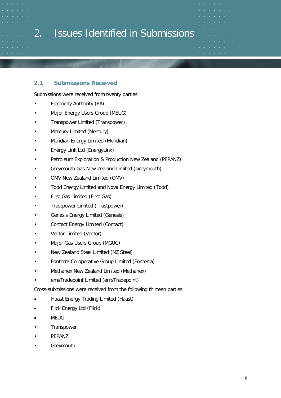# <span id="page-7-0"></span>2. Issues Identified in Submissions

## <span id="page-7-1"></span>**2.1 Submissions Received**

Submissions were received from twenty parties:

- Electricity Authority (EA)
- Major Energy Users Group (MEUG)
- Transpower Limited (Transpower)
- Mercury Limited (Mercury)
- Meridian Energy Limited (Meridian)
- Energy Link Ltd (EnergyLink)
- Petroleum Exploration & Production New Zealand (PEPANZ)
- Greymouth Gas New Zealand Limited (Greymouth)
- OMV New Zealand Limited (OMV)
- Todd Energy Limited and Nova Energy Limited (Todd)
- First Gas Limited (First Gas)
- Trustpower Limited (Trustpower)
- Genesis Energy Limited (Genesis)
- Contact Energy Limited (Contact)
- Vector Limited (Vector)
- Major Gas Users Group (MGUG)
- New Zealand Steel Limited (NZ Steel)
- Fonterra Co-operative Group Limited (Fonterra)
- Methanex New Zealand Limited (Methanex)
- emsTradepoint Limited (emsTradepoint)

Cross-submissions were received from the following thirteen parties:

- Haast Energy Trading Limited (Haast)
- Flick Energy Ltd (Flick)
- MEUG
- Transpower
- PEPANZ
- **Greymouth**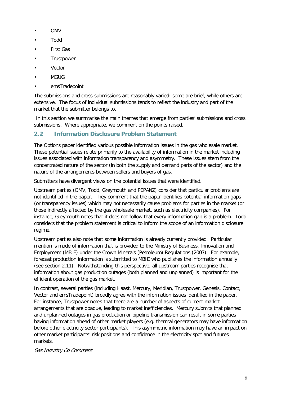- OMV
- Todd
- **First Gas**
- **Trustpower**
- **Vector**
- MGUG
- emsTradepoint

The submissions and cross-submissions are reasonably varied: some are brief, while others are extensive. The focus of individual submissions tends to reflect the industry and part of the market that the submitter belongs to.

In this section we summarise the main themes that emerge from parties' submissions and cross submissions. Where appropriate, we comment on the points raised.

# <span id="page-8-0"></span>**2.2 Information Disclosure Problem Statement**

The Options paper identified various possible information issues in the gas wholesale market. These potential issues relate primarily to the availability of information in the market including issues associated with information transparency and asymmetry. These issues stem from the concentrated nature of the sector (in both the supply and demand parts of the sector) and the nature of the arrangements between sellers and buyers of gas.

Submitters have divergent views on the potential issues that were identified.

Upstream parties (OMV, Todd, Greymouth and PEPANZ) consider that particular problems are not identified in the paper. They comment that the paper identifies potential information gaps (or transparency issues) which may not necessarily cause problems for parties in the market (or those indirectly affected by the gas wholesale market, such as electricity companies). For instance, Greymouth notes that it does not follow that every information gap is a problem. Todd considers that the problem statement is critical to inform the scope of an information disclosure regime.

Upstream parties also note that some information is already currently provided. Particular mention is made of information that is provided to the Ministry of Business, Innovation and Employment (MBIE) under the Crown Minerals (Petroleum) Regulations (2007). For example, forecast production information is submitted to MBIE who publishes the information annually (see section [2.11\)](#page-15-0). Notwithstanding this perspective, all upstream parties recognise that information about gas production outages (both planned and unplanned) is important for the efficient operation of the gas market.

In contrast, several parties (including Haast, Mercury, Meridian, Trustpower, Genesis, Contact, Vector and emsTradepoint) broadly agree with the information issues identified in the paper. For instance, Trustpower notes that there are a number of aspects of current market arrangements that are opaque, leading to market inefficiencies. Mercury submits that planned and unplanned outages in gas production or pipeline transmission can result in some parties having information ahead of other market players (e.g. thermal generators may have information before other electricity sector participants). This asymmetric information may have an impact on other market participants' risk positions and confidence in the electricity spot and futures markets.

Gas Industry Co Comment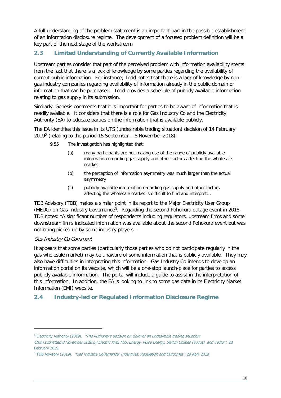A full understanding of the problem statement is an important part in the possible establishment of an information disclosure regime. The development of a focused problem definition will be a key part of the next stage of the workstream.

# <span id="page-9-0"></span>**2.3 Limited Understanding of Currently Available Information**

Upstream parties consider that part of the perceived problem with information availability stems from the fact that there is a lack of knowledge by some parties regarding the availability of current public information. For instance, Todd notes that there is a lack of knowledge by nongas industry companies regarding availability of information already in the public domain or information that can be purchased. Todd provides a schedule of publicly available information relating to gas supply in its submission.

Similarly, Genesis comments that it is important for parties to be aware of information that is readily available. It considers that there is a role for Gas Industry Co and the Electricity Authority (EA) to educate parties on the information that is available publicly.

The EA identifies this issue in its UTS (undesirable trading situation) decision of 14 February  $2019<sup>2</sup>$  (relating to the period 15 September – 8 November 2018):

- 9.55 The investigation has highlighted that:
	- (a) many participants are not making use of the range of publicly available information regarding gas supply and other factors affecting the wholesale market
	- (b) the perception of information asymmetry was much larger than the actual asymmetry
	- (c) publicly available information regarding gas supply and other factors affecting the wholesale market is difficult to find and interpret…

TDB Advisory (TDB) makes a similar point in its report to the Major Electricity User Group (MEUG) on Gas Industry Governance[3.](#page-9-3) Regarding the second Pohokura outage event in 2018, TDB notes: "A significant number of respondents including regulators, upstream firms and some downstream firms indicated information was available about the second Pohokura event but was not being picked up by some industry players".

## Gas Industry Co Comment

It appears that some parties (particularly those parties who do not participate regularly in the gas wholesale market) may be unaware of some information that is publicly available. They may also have difficulties in interpreting this information. Gas Industry Co intends to develop an information portal on its website, which will be a one-stop launch-place for parties to access publicly available information. The portal will include a guide to assist in the interpretation of this information. In addition, the EA is looking to link to some gas data in its Electricity Market Information (EMI) website.

# <span id="page-9-1"></span>**2.4 Industry-led or Regulated Information Disclosure Regime**

<span id="page-9-2"></span><sup>&</sup>lt;sup>2</sup> Electricity Authority (2019). "The Authority's decision on claim of an undesirable trading situation:

Claim submitted 8 November 2018 by Electric Kiwi, Flick Energy, Pulse Energy, Switch Utilities (Vocus), and Vector", 28 February 2019

<span id="page-9-3"></span><sup>&</sup>lt;sup>3</sup> TDB Advisory (2019). "Gas Industry Governance: Incentives, Regulation and Outcomes", 29 April 2019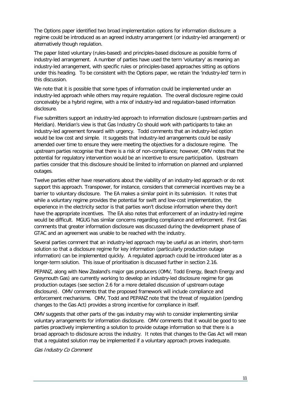The Options paper identified two broad implementation options for information disclosure: a regime could be introduced as an agreed industry arrangement (or industry-led arrangement) or alternatively though regulation.

The paper listed voluntary (rules-based) and principles-based disclosure as possible forms of industry-led arrangement. A number of parties have used the term 'voluntary' as meaning an industry-led arrangement, with specific rules or principles-based approaches sitting as options under this heading. To be consistent with the Options paper, we retain the 'industry-led' term in this discussion.

We note that it is possible that some types of information could be implemented under an industry-led approach while others may require regulation. The overall disclosure regime could conceivably be a hybrid regime, with a mix of industry-led and regulation-based information disclosure.

Five submitters support an industry-led approach to information disclosure (upstream parties and Meridian). Meridian's view is that Gas Industry Co should work with participants to take an industry-led agreement forward with urgency. Todd comments that an industry-led option would be low cost and simple. It suggests that industry-led arrangements could be easily amended over time to ensure they were meeting the objectives for a disclosure regime. The upstream parties recognise that there is a risk of non-compliance; however, OMV notes that the potential for regulatory intervention would be an incentive to ensure participation. Upstream parties consider that this disclosure should be limited to information on planned and unplanned outages.

Twelve parties either have reservations about the viability of an industry-led approach or do not support this approach. Transpower, for instance, considers that commercial incentives may be a barrier to voluntary disclosure. The EA makes a similar point in its submission. It notes that while a voluntary regime provides the potential for swift and low-cost implementation, the experience in the electricity sector is that parties won't disclose information where they don't have the appropriate incentives. The EA also notes that enforcement of an industry-led regime would be difficult. MGUG has similar concerns regarding compliance and enforcement. First Gas comments that greater information disclosure was discussed during the development phase of GTAC and an agreement was unable to be reached with the industry.

Several parties comment that an industry-led approach may be useful as an interim, short-term solution so that a disclosure regime for key information (particularly production outage information) can be implemented quickly. A regulated approach could be introduced later as a longer-term solution. This issue of prioritisation is discussed further in section [2.16.](#page-18-1)

PEPANZ, along with New Zealand's major gas producers (OMV, Todd Energy, Beach Energy and Greymouth Gas) are currently working to develop an industry-led disclosure regime for gas production outages (see section [2.6](#page-12-0) for a more detailed discussion of upstream outage disclosure). OMV comments that the proposed framework will include compliance and enforcement mechanisms. OMV, Todd and PEPANZ note that the threat of regulation (pending changes to the Gas Act) provides a strong incentive for compliance in itself.

OMV suggests that other parts of the gas industry may wish to consider implementing similar voluntary arrangements for information disclosure. OMV comments that it would be good to see parties proactively implementing a solution to provide outage information so that there is a broad approach to disclosure across the industry. It notes that changes to the Gas Act will mean that a regulated solution may be implemented if a voluntary approach proves inadequate.

Gas Industry Co Comment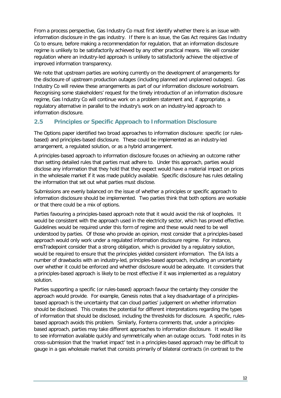From a process perspective, Gas Industry Co must first identify whether there is an issue with information disclosure in the gas industry. If there is an issue, the Gas Act requires Gas Industry Co to ensure, before making a recommendation for regulation, that an information disclosure regime is unlikely to be satisfactorily achieved by any other practical means. We will consider regulation where an industry-led approach is unlikely to satisfactorily achieve the objective of improved information transparency.

We note that upstream parties are working currently on the development of arrangements for the disclosure of upstream production outages (including planned and unplanned outages). Gas Industry Co will review these arrangements as part of our information disclosure workstream. Recognising some stakeholders' request for the timely introduction of an information disclosure regime, Gas Industry Co will continue work on a problem statement and, if appropriate, a regulatory alternative in parallel to the industry's work on an industry-led approach to information disclosure.

# <span id="page-11-0"></span>**2.5 Principles or Specific Approach to Information Disclosure**

The Options paper identified two broad approaches to information disclosure: specific (or rulesbased) and principles-based disclosure. These could be implemented as an industry-led arrangement, a regulated solution, or as a hybrid arrangement.

A principles-based approach to information disclosure focuses on achieving an outcome rather than setting detailed rules that parties must adhere to. Under this approach, parties would disclose any information that they hold that they expect would have a material impact on prices in the wholesale market if it was made publicly available. Specific disclosure has rules detailing the information that set out what parties must disclose.

Submissions are evenly balanced on the issue of whether a principles or specific approach to information disclosure should be implemented. Two parties think that both options are workable or that there could be a mix of options.

Parties favouring a principles-based approach note that it would avoid the risk of loopholes. It would be consistent with the approach used in the electricity sector, which has proved effective. Guidelines would be required under this form of regime and these would need to be well understood by parties. Of those who provide an opinion, most consider that a principles-based approach would only work under a regulated information disclosure regime. For instance, emsTradepoint consider that a strong obligation, which is provided by a regulatory solution, would be required to ensure that the principles yielded consistent information. The EA lists a number of drawbacks with an industry-led, principles-based approach, including an uncertainty over whether it could be enforced and whether disclosure would be adequate. It considers that a principles-based approach is likely to be most effective if it was implemented as a regulatory solution.

Parties supporting a specific (or rules-based) approach favour the certainty they consider the approach would provide. For example, Genesis notes that a key disadvantage of a principlesbased approach is the uncertainty that can cloud parties' judgement on whether information should be disclosed. This creates the potential for different interpretations regarding the types of information that should be disclosed, including the thresholds for disclosure. A specific, rulesbased approach avoids this problem. Similarly, Fonterra comments that, under a principlesbased approach, parties may take different approaches to information disclosure. It would like to see information available quickly and symmetrically when an outage occurs. Todd notes in its cross-submission that the 'market impact' test in a principles-based approach may be difficult to gauge in a gas wholesale market that consists primarily of bilateral contracts (in contrast to the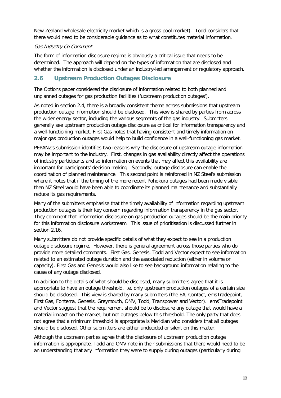New Zealand wholesale electricity market which is a gross pool market). Todd considers that there would need to be considerable guidance as to what constitutes material information.

#### Gas Industry Co Comment

The form of information disclosure regime is obviously a critical issue that needs to be determined. The approach will depend on the types of information that are disclosed and whether the information is disclosed under an industry-led arrangement or regulatory approach.

# <span id="page-12-0"></span>**2.6 Upstream Production Outages Disclosure**

The Options paper considered the disclosure of information related to both planned and unplanned outages for gas production facilities ('upstream production outages').

As noted in section [2.4,](#page-9-1) there is a broadly consistent theme across submissions that upstream production outage information should be disclosed. This view is shared by parties from across the wider energy sector, including the various segments of the gas industry. Submitters generally see upstream production outage disclosure as critical for information transparency and a well-functioning market. First Gas notes that having consistent and timely information on major gas production outages would help to build confidence in a well-functioning gas market.

PEPANZ's submission identifies two reasons why the disclosure of upstream outage information may be important to the industry. First, changes in gas availability directly affect the operations of industry participants and so information on events that may affect this availability are important for participants' decision making. Secondly, outage disclosure can enable the coordination of planned maintenance. This second point is reinforced in NZ Steel's submission where it notes that if the timing of the more recent Pohokura outages had been made visible then NZ Steel would have been able to coordinate its planned maintenance and substantially reduce its gas requirements.

Many of the submitters emphasise that the timely availability of information regarding upstream production outages is their key concern regarding information transparency in the gas sector. They comment that information disclosure on gas production outages should be the main priority for this information disclosure workstream. This issue of prioritisation is discussed further in section [2.16.](#page-18-1)

Many submitters do not provide specific details of what they expect to see in a production outage disclosure regime. However, there is general agreement across those parties who do provide more detailed comments. First Gas, Genesis, Todd and Vector expect to see information related to an estimated outage duration and the associated reduction (either in volume or capacity). First Gas and Genesis would also like to see background information relating to the cause of any outage disclosed.

In addition to the details of what should be disclosed, many submitters agree that it is appropriate to have an outage threshold, i.e. only upstream production outages of a certain size should be disclosed. This view is shared by many submitters (the EA, Contact, emsTradepoint, First Gas, Fonterra, Genesis, Greymouth, OMV, Todd, Transpower and Vector). emsTradepoint and Vector suggest that the requirement should be to disclosure any outage that would have a material impact on the market, but not outages below this threshold. The only party that does not agree that a minimum threshold is appropriate is Meridian who considers that all outages should be disclosed. Other submitters are either undecided or silent on this matter.

Although the upstream parties agree that the disclosure of upstream production outage information is appropriate, Todd and OMV note in their submissions that there would need to be an understanding that any information they were to supply during outages (particularly during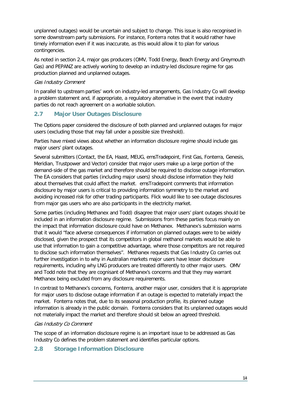unplanned outages) would be uncertain and subject to change. This issue is also recognised in some downstream party submissions. For instance, Fonterra notes that it would rather have timely information even if it was inaccurate, as this would allow it to plan for various contingencies.

As noted in section [2.4,](#page-9-1) major gas producers (OMV, Todd Energy, Beach Energy and Greymouth Gas) and PEPANZ are actively working to develop an industry-led disclosure regime for gas production planned and unplanned outages.

#### Gas Industry Comment

In parallel to upstream parties' work on industry-led arrangements, Gas Industry Co will develop a problem statement and, if appropriate, a regulatory alternative in the event that industry parties do not reach agreement on a workable solution.

# <span id="page-13-0"></span>**2.7 Major User Outages Disclosure**

The Options paper considered the disclosure of both planned and unplanned outages for major users (excluding those that may fall under a possible size threshold).

Parties have mixed views about whether an information disclosure regime should include gas major users' plant outages.

Several submitters (Contact, the EA, Haast, MEUG, emsTradepoint, First Gas, Fonterra, Genesis, Meridian, Trustpower and Vector) consider that major users make up a large portion of the demand-side of the gas market and therefore should be required to disclose outage information. The EA considers that parties (including major users) should disclose information they hold about themselves that could affect the market. emsTradepoint comments that information disclosure by major users is critical to providing information symmetry to the market and avoiding increased risk for other trading participants. Flick would like to see outage disclosures from major gas users who are also participants in the electricity market.

Some parties (including Methanex and Todd) disagree that major users' plant outages should be included in an information disclosure regime. Submissions from these parties focus mainly on the impact that information disclosure could have on Methanex. Methanex's submission warns that it would "face adverse consequences if information on planned outages were to be widely disclosed, given the prospect that its competitors in global methanol markets would be able to use that information to gain a competitive advantage, where those competitors are not required to disclose such information themselves". Methanex requests that Gas Industry Co carries out further investigation in to why in Australian markets major users have lesser disclosure requirements, including why LNG producers are treated differently to other major users. OMV and Todd note that they are cognisant of Methanex's concerns and that they may warrant Methanex being excluded from any disclosure requirements.

In contrast to Methanex's concerns, Fonterra, another major user, considers that it is appropriate for major users to disclose outage information if an outage is expected to materially impact the market. Fonterra notes that, due to its seasonal production profile, its planned outage information is already in the public domain. Fonterra considers that its unplanned outages would not materially impact the market and therefore should sit below an agreed threshold.

#### Gas Industry Co Comment

The scope of an information disclosure regime is an important issue to be addressed as Gas Industry Co defines the problem statement and identifies particular options.

## <span id="page-13-1"></span>**2.8 Storage Information Disclosure**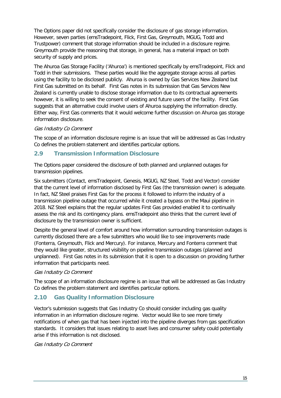The Options paper did not specifically consider the disclosure of gas storage information. However, seven parties (emsTradepoint, Flick, First Gas, Greymouth, MGUG, Todd and Trustpower) comment that storage information should be included in a disclosure regime. Greymouth provide the reasoning that storage, in general, has a material impact on both security of supply and prices.

The Ahuroa Gas Storage Facility ('Ahuroa') is mentioned specifically by emsTradepoint, Flick and Todd in their submissions. These parties would like the aggregate storage across all parties using the facility to be disclosed publicly. Ahuroa is owned by Gas Services New Zealand but First Gas submitted on its behalf. First Gas notes in its submission that Gas Services New Zealand is currently unable to disclose storage information due to its contractual agreements however, it is willing to seek the consent of existing and future users of the facility. First Gas suggests that an alternative could involve users of Ahuroa supplying the information directly. Either way, First Gas comments that it would welcome further discussion on Ahuroa gas storage information disclosure.

#### Gas Industry Co Comment

The scope of an information disclosure regime is an issue that will be addressed as Gas Industry Co defines the problem statement and identifies particular options.

## <span id="page-14-0"></span>**2.9 Transmission Information Disclosure**

The Options paper considered the disclosure of both planned and unplanned outages for transmission pipelines.

Six submitters (Contact, emsTradepoint, Genesis, MGUG, NZ Steel, Todd and Vector) consider that the current level of information disclosed by First Gas (the transmission owner) is adequate. In fact, NZ Steel praises First Gas for the process it followed to inform the industry of a transmission pipeline outage that occurred while it created a bypass on the Maui pipeline in 2018. NZ Steel explains that the regular updates First Gas provided enabled it to continually assess the risk and its contingency plans. emsTradepoint also thinks that the current level of disclosure by the transmission owner is sufficient.

Despite the general level of comfort around how information surrounding transmission outages is currently disclosed there are a few submitters who would like to see improvements made (Fonterra, Greymouth, Flick and Mercury). For instance, Mercury and Fonterra comment that they would like greater, structured visibility on pipeline transmission outages (planned and unplanned). First Gas notes in its submission that it is open to a discussion on providing further information that participants need.

#### Gas Industry Co Comment

The scope of an information disclosure regime is an issue that will be addressed as Gas Industry Co defines the problem statement and identifies particular options.

## <span id="page-14-1"></span>**2.10 Gas Quality Information Disclosure**

Vector's submission suggests that Gas Industry Co should consider including gas quality information in an information disclosure regime. Vector would like to see more timely notifications of when gas that has been injected into the pipeline diverges from gas specification standards. It considers that issues relating to asset lives and consumer safety could potentially arise if this information is not disclosed.

#### Gas Industry Co Comment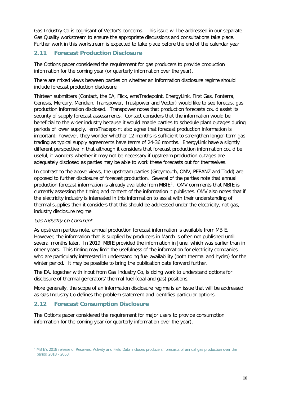Gas Industry Co is cognisant of Vector's concerns. This issue will be addressed in our separate Gas Quality workstream to ensure the appropriate discussions and consultations take place. Further work in this workstream is expected to take place before the end of the calendar year.

# <span id="page-15-0"></span>**2.11 Forecast Production Disclosure**

The Options paper considered the requirement for gas producers to provide production information for the coming year (or quarterly information over the year).

There are mixed views between parties on whether an information disclosure regime should include forecast production disclosure.

Thirteen submitters (Contact, the EA, Flick, emsTradepoint, EnergyLink, First Gas, Fonterra, Genesis, Mercury, Meridian, Transpower, Trustpower and Vector) would like to see forecast gas production information disclosed. Transpower notes that production forecasts could assist its security of supply forecast assessments. Contact considers that the information would be beneficial to the wider industry because it would enable parties to schedule plant outages during periods of lower supply. emsTradepoint also agree that forecast production information is important; however, they wonder whether 12 months is sufficient to strengthen longer-term gas trading as typical supply agreements have terms of 24-36 months. EnergyLink have a slightly different perspective in that although it considers that forecast production information could be useful, it wonders whether it may not be necessary if upstream production outages are adequately disclosed as parties may be able to work these forecasts out for themselves.

In contrast to the above views, the upstream parties (Greymouth, OMV, PEPANZ and Todd) are opposed to further disclosure of forecast production. Several of the parties note that annual production forecast information is already available from MBIE<sup>4</sup>. OMV comments that MBIE is currently assessing the timing and content of the information it publishes. OMV also notes that if the electricity industry is interested in this information to assist with their understanding of thermal supplies then it considers that this should be addressed under the electricity, not gas, industry disclosure regime.

#### Gas Industry Co Comment

As upstream parties note, annual production forecast information is available from MBIE. However, the information that is supplied by producers in March is often not published until several months later. In 2019, MBIE provided the information in June, which was earlier than in other years. This timing may limit the usefulness of the information for electricity companies who are particularly interested in understanding fuel availability (both thermal and hydro) for the winter period. It may be possible to bring the publication date forward further.

The EA, together with input from Gas Industry Co, is doing work to understand options for disclosure of thermal generators' thermal fuel (coal and gas) positions.

More generally, the scope of an information disclosure regime is an issue that will be addressed as Gas Industry Co defines the problem statement and identifies particular options.

# <span id="page-15-1"></span>**2.12 Forecast Consumption Disclosure**

The Options paper considered the requirement for major users to provide consumption information for the coming year (or quarterly information over the year).

<span id="page-15-2"></span><sup>4</sup> MBIE's 2018 release of Reserves, Activity and Field Data includes producers' forecasts of annual gas production over the period 2018 - 2053.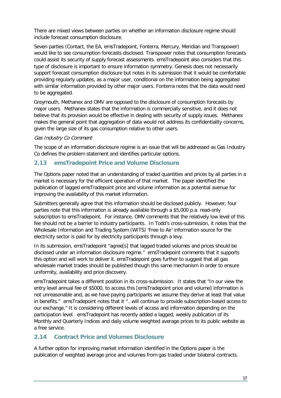There are mixed views between parties on whether an information disclosure regime should include forecast consumption disclosure.

Seven parties (Contact, the EA, emsTradepoint, Fonterra, Mercury, Meridian and Transpower) would like to see consumption forecasts disclosed. Transpower notes that consumption forecasts could assist its security of supply forecast assessments. emsTradepoint also considers that this type of disclosure is important to ensure information symmetry. Genesis does not necessarily support forecast consumption disclosure but notes in its submission that it would be comfortable providing regularly updates, as a major user, conditional on the information being aggregated with similar information provided by other major users. Fonterra notes that the data would need to be aggregated.

Greymouth, Methanex and OMV are opposed to the disclosure of consumption forecasts by major users. Methanex states that the information is commercially sensitive, and it does not believe that its provision would be effective in dealing with security of supply issues. Methanex makes the general point that aggregation of data would not address its confidentiality concerns, given the large size of its gas consumption relative to other users.

#### Gas Industry Co Comment

The scope of an information disclosure regime is an issue that will be addressed as Gas Industry Co defines the problem statement and identifies particular options.

# <span id="page-16-0"></span>**2.13 emsTradepoint Price and Volume Disclosure**

The Options paper noted that an understanding of traded quantities and prices by all parties in a market is necessary for the efficient operation of that market. The paper identified the publication of lagged emsTradepoint price and volume information as a potential avenue for improving the availability of this market information.

Submitters generally agree that this information should be disclosed publicly. However, four parties note that this information is already available through a \$5,000 p.a. read-only subscription to emsTradepoint. For instance, OMV comments that the relatively low level of this fee should not be a barrier to industry participants. In Todd's cross-submission, it notes that the Wholesale Information and Trading System (WITS) 'Free to Air' information source for the electricity sector is paid for by electricity participants through a levy.

In its submission, emsTradepoint "agree[s] that lagged traded volumes and prices should be disclosed under an information disclosure regime." emsTradepoint comments that it supports this option and will work to deliver it. emsTradepoint goes further to suggest that all gas wholesale market trades should be published though this same mechanism in order to ensure uniformity, availability and price discovery.

emsTradepoint takes a different position in its cross-submission. It states that "In our view the entry level annual fee of \$5000, to access this [emsTradepoint price and volume] information is not unreasonable and, as we have paying participants we assume they derive at least that value in benefits." emsTradepoint notes that it "…will continue to provide subscription-based access to our exchange." It is considering different levels of access and information depending on the participation level. emsTradepoint has recently added a lagged, weekly publication of its Monthly and Quarterly Indices and daily volume weighted average prices to its public website as a free service.

# <span id="page-16-1"></span>**2.14 Contract Price and Volumes Disclosure**

A further option for improving market information identified in the Options paper is the publication of weighted average price and volumes from gas traded under bilateral contracts.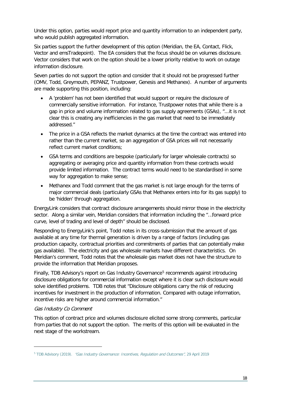Under this option, parties would report price and quantity information to an independent party, who would publish aggregated information.

Six parties support the further development of this option (Meridian, the EA, Contact, Flick, Vector and emsTradepoint). The EA considers that the focus should be on volumes disclosure. Vector considers that work on the option should be a lower priority relative to work on outage information disclosure.

Seven parties do not support the option and consider that it should not be progressed further (OMV, Todd, Greymouth, PEPANZ, Trustpower, Genesis and Methanex). A number of arguments are made supporting this position, including:

- A 'problem' has not been identified that would support or require the disclosure of commercially sensitive information. For instance, Trustpower notes that while there is a gap in price and volume information related to gas supply agreements (GSAs), "...it is not clear this is creating any inefficiencies in the gas market that need to be immediately addressed."
- The price in a GSA reflects the market dynamics at the time the contract was entered into rather than the current market, so an aggregation of GSA prices will not necessarily reflect current market conditions;
- GSA terms and conditions are bespoke (particularly for larger wholesale contracts) so aggregating or averaging price and quantity information from these contracts would provide limited information. The contract terms would need to be standardised in some way for aggregation to make sense;
- Methanex and Todd comment that the gas market is not large enough for the terms of major commercial deals (particularly GSAs that Methanex enters into for its gas supply) to be 'hidden' through aggregation.

EnergyLink considers that contract disclosure arrangements should mirror those in the electricity sector. Along a similar vein, Meridian considers that information including the "…forward price curve, level of trading and level of depth" should be disclosed.

Responding to EnergyLink's point, Todd notes in its cross-submission that the amount of gas available at any time for thermal generation is driven by a range of factors (including gas production capacity, contractual priorities and commitments of parties that can potentially make gas available). The electricity and gas wholesale markets have different characteristics. On Meridian's comment, Todd notes that the wholesale gas market does not have the structure to provide the information that Meridian proposes.

Finally, TDB Advisory's report on Gas Industry Governance<sup>[5](#page-17-0)</sup> recommends against introducing disclosure obligations for commercial information except where it is clear such disclosure would solve identified problems. TDB notes that "Disclosure obligations carry the risk of reducing incentives for investment in the production of information. Compared with outage information, incentive risks are higher around commercial information."

#### Gas Industry Co Comment

This option of contract price and volumes disclosure elicited some strong comments, particular from parties that do not support the option. The merits of this option will be evaluated in the next stage of the workstream.

<span id="page-17-0"></span><sup>&</sup>lt;sup>5</sup> TDB Advisory (2019). "Gas Industry Governance: Incentives, Regulation and Outcomes", 29 April 2019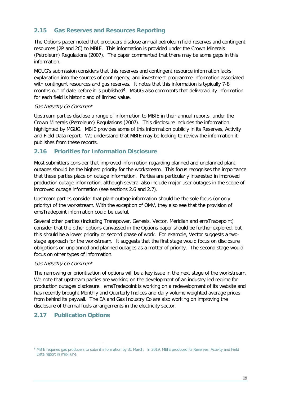# <span id="page-18-0"></span>**2.15 Gas Reserves and Resources Reporting**

The Options paper noted that producers disclose annual petroleum field reserves and contingent resources (2P and 2C) to MBIE. This information is provided under the Crown Minerals (Petroleum) Regulations (2007). The paper commented that there may be some gaps in this information.

MGUG's submission considers that this reserves and contingent resource information lacks explanation into the sources of contingency, and investment programme information associated with contingent resources and gas reserves. It notes that this information is typically 7-8 months out of date before it is published<sup>6</sup>. MGUG also comments that deliverability information for each field is historic and of limited value.

#### Gas Industry Co Comment

Upstream parties disclose a range of information to MBIE in their annual reports, under the Crown Minerals (Petroleum) Regulations (2007). This disclosure includes the information highlighted by MGUG. MBIE provides some of this information publicly in its Reserves, Activity and Field Data report. We understand that MBIE may be looking to review the information it publishes from these reports.

# <span id="page-18-1"></span>**2.16 Priorities for Information Disclosure**

Most submitters consider that improved information regarding planned and unplanned plant outages should be the highest priority for the workstream. This focus recognises the importance that these parties place on outage information. Parties are particularly interested in improved production outage information, although several also include major user outages in the scope of improved outage information (see sections [2.6](#page-12-0) and [2.7\)](#page-13-0).

Upstream parties consider that plant outage information should be the sole focus (or only priority) of the workstream. With the exception of OMV, they also see that the provision of emsTradepoint information could be useful.

Several other parties (including Transpower, Genesis, Vector, Meridian and emsTradepoint) consider that the other options canvassed in the Options paper should be further explored, but this should be a lower priority or second phase of work. For example, Vector suggests a twostage approach for the workstream. It suggests that the first stage would focus on disclosure obligations on unplanned and planned outages as a matter of priority. The second stage would focus on other types of information.

## Gas Industry Co Comment

The narrowing or prioritisation of options will be a key issue in the next stage of the workstream. We note that upstream parties are working on the development of an industry-led regime for production outages disclosure. emsTradepoint is working on a redevelopment of its website and has recently brought Monthly and Quarterly Indices and daily volume weighted average prices from behind its paywall. The EA and Gas Industry Co are also working on improving the disclosure of thermal fuels arrangements in the electricity sector.

# <span id="page-18-2"></span>**2.17 Publication Options**

<span id="page-18-3"></span><sup>6</sup> MBIE requires gas producers to submit information by 31 March. In 2019, MBIE produced its Reserves, Activity and Field Data report in mid-June.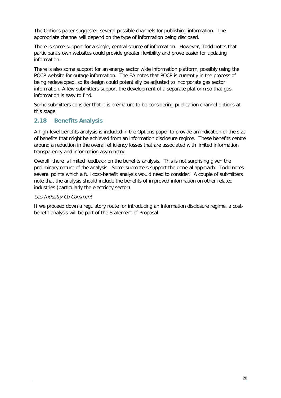The Options paper suggested several possible channels for publishing information. The appropriate channel will depend on the type of information being disclosed.

There is some support for a single, central source of information. However, Todd notes that participant's own websites could provide greater flexibility and prove easier for updating information.

There is also some support for an energy sector wide information platform, possibly using the POCP website for outage information. The EA notes that POCP is currently in the process of being redeveloped, so its design could potentially be adjusted to incorporate gas sector information. A few submitters support the development of a separate platform so that gas information is easy to find.

Some submitters consider that it is premature to be considering publication channel options at this stage.

# <span id="page-19-0"></span>**2.18 Benefits Analysis**

A high-level benefits analysis is included in the Options paper to provide an indication of the size of benefits that might be achieved from an information disclosure regime. These benefits centre around a reduction in the overall efficiency losses that are associated with limited information transparency and information asymmetry.

Overall, there is limited feedback on the benefits analysis. This is not surprising given the preliminary nature of the analysis. Some submitters support the general approach. Todd notes several points which a full cost-benefit analysis would need to consider. A couple of submitters note that the analysis should include the benefits of improved information on other related industries (particularly the electricity sector).

## Gas Industry Co Comment

If we proceed down a regulatory route for introducing an information disclosure regime, a costbenefit analysis will be part of the Statement of Proposal.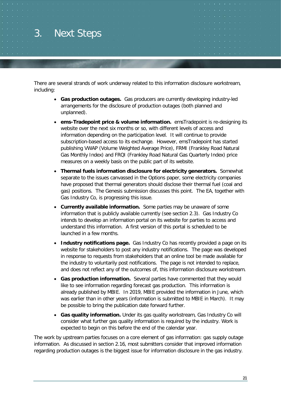# <span id="page-20-0"></span>3. Next Steps

There are several strands of work underway related to this information disclosure workstream, including:

- **Gas production outages.** Gas producers are currently developing industry-led arrangements for the disclosure of production outages (both planned and unplanned).
- **ems-Tradepoint price & volume information.** emsTradepoint is re-designing its website over the next six months or so, with different levels of access and information depending on the participation level. It will continue to provide subscription-based access to its exchange. However, emsTradepoint has started publishing VWAP (Volume Weighted Average Price), FRMI (Frankley Road Natural Gas Monthly Index) and FRQI (Frankley Road Natural Gas Quarterly Index) price measures on a weekly basis on the public part of its website.
- **Thermal fuels information disclosure for electricity generators.** Somewhat separate to the issues canvassed in the Options paper, some electricity companies have proposed that thermal generators should disclose their thermal fuel (coal and gas) positions. The Genesis submission discusses this point. The EA, together with Gas Industry Co, is progressing this issue.
- **Currently available information.** Some parties may be unaware of some information that is publicly available currently (see section [2.3\)](#page-9-0). Gas Industry Co intends to develop an information portal on its website for parties to access and understand this information. A first version of this portal is scheduled to be launched in a few months.
- **Industry notifications page.** Gas Industry Co has recently provided a page on its website for stakeholders to post any industry notifications. The page was developed in response to requests from stakeholders that an online tool be made available for the industry to voluntarily post notifications. The page is not intended to replace, and does not reflect any of the outcomes of, this information disclosure workstream.
- **Gas production information.** Several parties have commented that they would like to see information regarding forecast gas production. This information is already published by MBIE. In 2019, MBIE provided the information in June, which was earlier than in other years (information is submitted to MBIE in March). It may be possible to bring the publication date forward further.
- **Gas quality information.** Under its gas quality workstream, Gas Industry Co will consider what further gas quality information is required by the industry. Work is expected to begin on this before the end of the calendar year.

The work by upstream parties focuses on a core element of gas information: gas supply outage information. As discussed in section [2.16,](#page-18-1) most submitters consider that improved information regarding production outages is the biggest issue for information disclosure in the gas industry.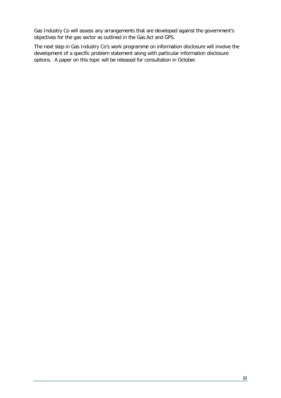Gas Industry Co will assess any arrangements that are developed against the government's objectives for the gas sector as outlined in the Gas Act and GPS.

The next step in Gas Industry Co's work programme on information disclosure will involve the development of a specific problem statement along with particular information disclosure options. A paper on this topic will be released for consultation in October.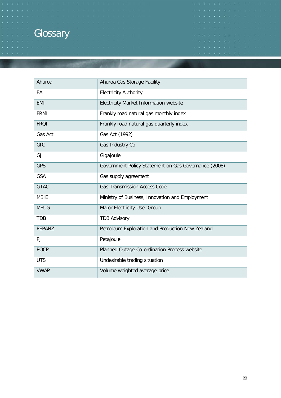# <span id="page-22-0"></span>**Glossary**

| Ahuroa        | Ahuroa Gas Storage Facility                          |
|---------------|------------------------------------------------------|
| EA            | <b>Electricity Authority</b>                         |
| <b>EMI</b>    | <b>Electricity Market Information website</b>        |
| <b>FRMI</b>   | Frankly road natural gas monthly index               |
| <b>FRQI</b>   | Frankly road natural gas quarterly index             |
| Gas Act       | Gas Act (1992)                                       |
| GIC           | Gas Industry Co                                      |
| GJ            | Gigajoule                                            |
| <b>GPS</b>    | Government Policy Statement on Gas Governance (2008) |
| <b>GSA</b>    | Gas supply agreement                                 |
| <b>GTAC</b>   | <b>Gas Transmission Access Code</b>                  |
| <b>MBIE</b>   | Ministry of Business, Innovation and Employment      |
| <b>MEUG</b>   | Major Electricity User Group                         |
| <b>TDB</b>    | <b>TDB Advisory</b>                                  |
| <b>PEPANZ</b> | Petroleum Exploration and Production New Zealand     |
| PJ            | Petajoule                                            |
| <b>POCP</b>   | Planned Outage Co-ordination Process website         |
| <b>UTS</b>    | Undesirable trading situation                        |
| <b>VWAP</b>   | Volume weighted average price                        |